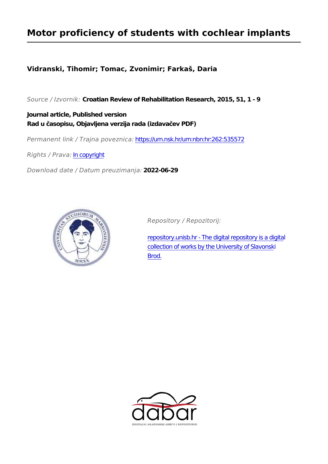## **Motor proficiency of students with cochlear implants**

### **Vidranski, Tihomir; Tomac, Zvonimir; Farkaš, Daria**

*Source / Izvornik:* **Croatian Review of Rehabilitation Research, 2015, 51, 1 - 9**

**Journal article, Published version Rad u časopisu, Objavljena verzija rada (izdavačev PDF)**

*Permanent link / Trajna poveznica:* <https://urn.nsk.hr/urn:nbn:hr:262:535572>

*Rights / Prava:* [In copyright](http://rightsstatements.org/vocab/InC/1.0/)

*Download date / Datum preuzimanja:* **2022-06-29**



*Repository / Repozitorij:*

[repository.unisb.hr - The digital repository is a digita](https://repozitorij.unisb.hr)l [collection of works by the University of Slavonsk](https://repozitorij.unisb.hr)i [Brod.](https://repozitorij.unisb.hr)

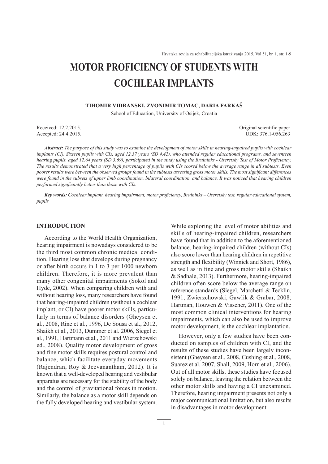# MOTOR PROFICIENCY OF STUDENTS WITH **COCHLEAR IMPLANTS**

#### TIHOMIR VIDRANSKI, ZVONIMIR TOMAC, DARIA FARKAŠ

School of Education, University of Osijek, Croatia

Received:  $12.2.2015$ Accepted: 24.4.2015. Original scientific paper UDK: 376.1-056.263

Abstract: The purpose of this study was to examine the development of motor skills in hearing-impaired pupils with cochlear implants (CI). Sixteen pupils with CIs, aged 12.37 years (SD 4.42), who attended regular educational programs, and seventeen hearing pupils, aged 12.64 years (SD 3.69), participated in the study using the Bruininks - Oseretsky Test of Motor Proficiency. The results demonstrated that a very high percentage of pupils with CIs scored below the average range in all subtests. Even poorer results were between the observed groups found in the subtests assessing gross motor skills. The most significant differences were found in the subsets of upper limb coordination, bilateral coordination, and balance. It was noticed that hearing children performed significantly better than those with CIs.

Key words: Cochlear implant, hearing impairment, motor proficiency, Bruininks - Oseretsky test, regular educational system, pupils

#### **INTRODUCTION**

According to the World Health Organization, hearing impairment is nowadays considered to be the third most common chronic medical condition. Hearing loss that develops during pregnancy or after birth occurs in 1 to 3 per 1000 newborn children. Therefore, it is more prevalent than many other congenital impairments (Sokol and Hyde, 2002). When comparing children with and without hearing loss, many researchers have found that hearing-impaired children (without a cochlear implant, or CI) have poorer motor skills, particularly in terms of balance disorders (Gheysen et al., 2008, Rine et al., 1996, De Sousa et al., 2012, Shaikh et al., 2013, Dummer et al. 2006, Siegel et al., 1991, Hartmann et al., 2011 and Wierzchowski ed., 2008). Quality motor development of gross and fine motor skills requires postural control and balance, which facilitate everyday movements (Rajendran, Roy & Jeevanantham, 2012). It is known that a well-developed hearing and vestibular apparatus are necessary for the stability of the body and the control of gravitational forces in motion. Similarly, the balance as a motor skill depends on the fully developed hearing and vestibular system.

While exploring the level of motor abilities and skills of hearing-impaired children, researchers have found that in addition to the aforementioned balance, hearing-impaired children (without CIs) also score lower than hearing children in repetitive strength and flexibility (Winnick and Short, 1986), as well as in fine and gross motor skills (Shaikh & Sadhale, 2013). Furthermore, hearing-impaired children often score below the average range on reference standards (Siegel, Marchetti & Tecklin, 1991; Zwierzchowski, Gawlik & Grabar, 2008; Hartman, Houwen & Visscher, 2011). One of the most common clinical interventions for hearing impairments, which can also be used to improve motor development, is the cochlear implantation.

However, only a few studies have been conducted on samples of children with CI, and the results of these studies have been largely inconsistent (Gheysen et al., 2008, Cushing et al., 2008, Suarez et al. 2007, Shall, 2009, Horn et al., 2006). Out of all motor skills, these studies have focused solely on balance, leaving the relation between the other motor skills and having a CI unexamined. Therefore, hearing impairment presents not only a major communicational limitation, but also results in disadvantages in motor development.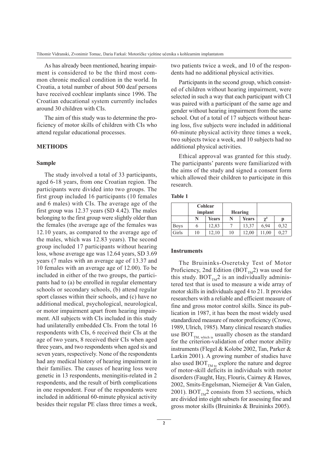As has already been mentioned, hearing impairment is considered to be the third most common chronic medical condition in the world. In Croatia, a total number of about 500 deaf persons have received cochlear implants since 1996. The Croatian educational system currently includes around 30 children with CIs.

The aim of this study was to determine the proficiency of motor skills of children with CIs who attend regular educational processes.

#### **METHODS**

#### **Sample**

The study involved a total of 33 participants, aged 6-18 years, from one Croatian region. The participants were divided into two groups. The first group included 16 participants (10 females and 6 males) with CIs. The average age of the first group was 12.37 years (SD 4.42). The males belonging to the first group were slightly older than the females (the average age of the females was 12.10 years, as compared to the average age of the males, which was 12.83 years). The second group included 17 participants without hearing loss, whose average age was 12.64 years, SD 3.69 years (7 males with an average age of 13.37 and 10 females with an average age of 12.00). To be included in either of the two groups, the participants had to (a) be enrolled in regular elementary schools or secondary schools, (b) attend regular sport classes within their schools, and (c) have no additional medical, psychological, neurological, or motor impairment apart from hearing impairment. All subjects with CIs included in this study had unilaterally embedded CIs. From the total 16 respondents with CIs, 6 received their CIs at the age of two years, 8 received their CIs when aged three years, and two respondents when aged six and seven years, respectively. None of the respondents had any medical history of hearing impairment in their families. The causes of hearing loss were genetic in 13 respondents, meningitis-related in 2 respondents, and the result of birth complications in one respondent. Four of the respondents were included in additional 60-minute physical activity besides their regular PE class three times a week, two patients twice a week, and 10 of the respondents had no additional physical activities.

Participants in the second group, which consisted of children without hearing impairment, were selected in such a way that each participant with CI was paired with a participant of the same age and gender without hearing impairment from the same school. Out of a total of 17 subjects without hearing loss, five subjects were included in additional 60-minute physical activity three times a week. two subjects twice a week, and 10 subjects had no additional physical activities.

Ethical approval was granted for this study. The participants' parents were familiarized with the aims of the study and signed a consent form which allowed their children to participate in this research.

|             |    | Cohlear<br>implant |    | Hearing |            |      |
|-------------|----|--------------------|----|---------|------------|------|
|             | N  | Years              |    | Years   | $\gamma^2$ | р    |
| <b>Boys</b> | O  | 12,83              |    | 13,37   | 6.94       | 0,32 |
| Girls       | 10 | 12,10              | 10 | 12,00   | 11,00      | 0.27 |

#### **Instruments**

The Bruininks-Oseretsky Test of Motor Proficiency, 2nd Edition (BOT<sub>TM</sub>2) was used for this study.  $BOT_{TM}2$  is an individually administered test that is used to measure a wide array of motor skills in individuals aged 4 to 21. It provides researchers with a reliable and efficient measure of fine and gross motor control skills. Since its publication in 1987, it has been the most widely used standardized measure of motor proficiency (Crowe, 1989, Ulrich, 1985). Many clinical research studies use BOT<sub>TM, which is</sub> usually chosen as the standard for the criterion-validation of other motor ability instruments (Flegel & Kolobe 2002, Tan, Parker & Larkin 2001). A growing number of studies have also used  $\text{BOT}_{\text{TM to}}$  explore the nature and degree of motor-skill deficits in individuals with motor disorders (Faught, Hay, Flouris, Cairney & Hawes, 2002, Smits-Engelsman, Niemeijer & Van Galen, 2001). BOT<sub>TM</sub>2 consists from 53 sections, which are divided into eight subsets for assessing fine and gross motor skills (Bruininks & Bruininks 2005).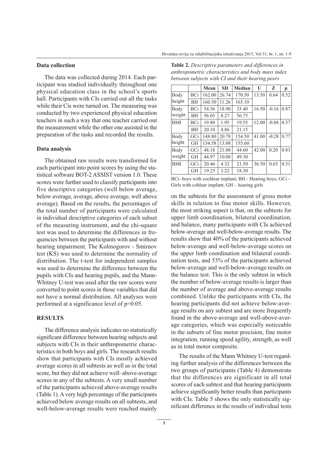**Contract Contract** 

#### Data collection

The data was collected during 2014. Each participant was studied individually throughout one physical education class in the school's sports hall. Participants with CIs carried out all the tasks while their Cis were turned on. The measuring was conducted by two experienced physical education teachers in such a way that one teacher carried out the measurement while the other one assisted in the preparation of the tasks and recorded the results.

#### Data analysis

The obtained raw results were transformed for each participant into point scores by using the statistical software BOT-2 ASSIST version 1.0. These scores were further used to classify participants into five descriptive categories (well below average, below average, average, above average, well above average). Based on the results, the percentages of the total number of participants were calculated in individual descriptive categories of each subset of the measuring instrument, and the chi-square test was used to determine the differences in frequencies between the participants with and without hearing impairment. The Kolmogorov - Smirnov test (KS) was used to determine the normality of distribution. The t-test for independent samples was used to determine the difference between the pupils with CIs and hearing pupils, and the Mann-Whitney U-test was used after the raw scores were converted to point scores in those variables that did not have a normal distribution. All analyses were performed at a significance level of p=0.05.

#### **RESULTS**

The difference analysis indicates no statistically significant difference between hearing subjects and subjects with CIs in their anthropometric characteristics in both boys and girls. The research results show that participants with CIs mostly achieved average scores in all subtests as well as in the total score, but they did not achieve well-above-average scores in any of the subtests. A very small number of the participants achieved above-average results (Table 1). A very high percentage of the participants achieved below average results on all subtests, and well-below-average results were reached mainly

| <b>Table 2.</b> Descriptive parameters and differences in |
|-----------------------------------------------------------|
| anthropometric characteristics and body mass index        |
| between subjects with CI and their hearing peers          |

a a la

|            |            | Mean   | <b>SD</b> | Median | U     | Z       | р    |
|------------|------------|--------|-----------|--------|-------|---------|------|
| Body       | BCi        | 162.00 | 26.74     | 170.50 | 13.50 | 0.64    | 0.52 |
| height     | <b>BH</b>  | 160.50 | 11.26     | 165.10 |       |         |      |
| Body       | BCi        | 54.56  | 18.90     | 33.40  |       | $-0.16$ | 0.87 |
| weight     | <b>BH</b>  | 56.05  | 8.27      | 56.75  |       |         |      |
| <b>BMI</b> | <b>BCi</b> | 19.80  | 1.95      | 19.55  | 12.00 | $-0.88$ | 0.37 |
|            | <b>BH</b>  | 20.10  | 4.86      | 21.15  |       |         |      |
| Body       | GCi        | 148.80 | 20.78     | 154.50 | 41.00 | $-0.28$ | 0.77 |
| height     | <b>GH</b>  | 154.58 | 13.08     | 155.60 |       |         |      |
| Body       | GCi        | 48.18  | 21.08     | 44.60  | 42.00 | 0.20    | 0.83 |
| weight     | <b>GH</b>  | 44.97  | 10.08     | 49.30  |       |         |      |
| <b>BMI</b> | GCi        | 20.46  | 4.32      | 21.50  | 36.50 | 0.65    | 0.51 |
|            | <b>GH</b>  | 19.25  | 3.22      | 18.30  |       |         |      |

BCi-boys with cochlear implant; BH - Hearing boys; GCi -Girls with cohlear implant; GH – hearing girls

on the subtests for the assessment of gross motor skills in relation to fine motor skills. However, the most striking aspect is that, on the subtests for upper limb coordination, bilateral coordination, and balance, many participants with CIs achieved below-average and well-below-average results. The results show that 40% of the participants achieved below-average and well-below-average scores on the upper limb coordination and bilateral coordination tests, and 53% of the participants achieved below-average and well-below-average results on the balance test. This is the only subtest in which the number of below-average results is larger than the number of average and above-average results combined. Unlike the participants with CIs, the hearing participants did not achieve below-average results on any subtest and are more frequently found in the above-average and well-above-average categories, which was especially noticeable in the subsets of fine motor precision, fine motor integration, running speed agility, strength, as well as in total motor composite.

The results of the Mann Whitney U-test regarding further analysis of the differences between the two groups of participants (Table 4) demonstrate that the differences are significant in all total scores of each subtest and that hearing participants achieve significantly better results than participants with CIs. Table 5 shows the only statistically significant difference in the results of individual tests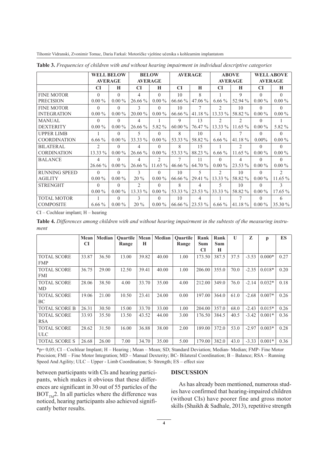|                      |                | <b>WELL BELOW</b> |                | <b>BELOW</b>   |           | <b>AVERAGE</b> |                | <b>ABOVE</b>   |           | <b>WELL ABOVE</b>           |  |  |
|----------------------|----------------|-------------------|----------------|----------------|-----------|----------------|----------------|----------------|-----------|-----------------------------|--|--|
|                      | <b>AVERAGE</b> |                   |                | <b>AVERAGE</b> |           |                |                | <b>AVERAGE</b> |           | <b>AVERAGE</b>              |  |  |
|                      | <b>CI</b>      | H                 | <b>CI</b>      | H              | CI        | H              | <b>CI</b>      | H              | <b>CI</b> | H                           |  |  |
| <b>FINE MOTOR</b>    | $\Omega$       | $\Omega$          | 4              | $\Omega$       | 10        | 8              |                | 9              | $\Omega$  | $\Omega$                    |  |  |
| <b>PRECISION</b>     | $0.00\%$       | $0.00\%$          | $26.66\%$      | $0.00\%$       | 66.66 %   | $47.06\%$      | $6.66\%$       | 52.94 %        | $0.00\%$  | $0.00\%$                    |  |  |
| <b>FINE MOTOR</b>    | $\Omega$       | $\Omega$          | 3              | $\Omega$       | 10        |                | 2              | 10             | $\Omega$  | $\Omega$                    |  |  |
| <b>INTEGRATION</b>   | $0.00\%$       | $0.00\%$          | $20.00\%$      | $0.00\%$       | 66.66 %   | 41.18 %        | $13.33\%$      | 58.82 %        | $0.00\%$  | $0.00\%$                    |  |  |
| <b>MANUAL</b>        | $\Omega$       | $\Omega$          | 4              |                | 9         | 13             | $\mathfrak{D}$ | $\mathfrak{D}$ | $\Omega$  |                             |  |  |
| <b>DEXTERITY</b>     | $0.00\%$       | $0.00\%$          | 26.66 %        | 5.82 %         | $60.00\%$ | 76.47 %        | $13.33\%$      | $11.65\%$      | $0.00\%$  | 5.82 %                      |  |  |
| <b>UPPER LIMB</b>    |                | $\Omega$          | 5              | $\Omega$       | 8         | 10             |                | 7              | $\Omega$  | $\Omega$                    |  |  |
| <b>COORDINATION</b>  | $6.66\%$       | $0.00\%$          | 33.33 %        | $0.00\%$       | 53.33 %   | 58.82 %        | $6.66\%$       | 41.18 $%$      | $0.00\%$  | $0.00\%$                    |  |  |
| <b>BILATERAL</b>     | $\overline{c}$ | $\Omega$          | 4              | $\Omega$       | 8         | 15             |                | $\mathfrak{D}$ | $\Omega$  | $\Omega$                    |  |  |
| <b>CORDINATION</b>   | 13.33 %        | $0.00\%$          | 26.66 %        | $0.00\%$       | 53.33 %   | 88.23 %        | $6.66\%$       | $11.65\%$      | $0.00\%$  | $0.00\%$                    |  |  |
| <b>BALANCE</b>       | 4              | $\Omega$          | 4              | $\mathfrak{D}$ | 7         | 11             | $\Omega$       | 4              | $\Omega$  | $\Omega$                    |  |  |
|                      | $26.66\%$      | $0.00\%$          | $26.66\%$      | $11.65\%$      | $46.66\%$ | 64.70 %        | $0.00\%$       | 23.53 %        | $0.00\%$  | $0.00\%$                    |  |  |
| <b>RUNNING SPEED</b> | $\Omega$       | $\Omega$          | 3              | $\Omega$       | 10        | 5              | $\mathfrak{D}$ | 10             | $\Omega$  | $\mathcal{D}_{\mathcal{A}}$ |  |  |
| <b>AGILITY</b>       | $0.00\%$       | $0.00\%$          | $20\%$         | $0.00\%$       | 66.66 %   | 29.41 %        | $13.33\%$      | 58.82 %        | $0.00\%$  | $11.65\%$                   |  |  |
| <b>STRENGHT</b>      | $\Omega$       | $\Omega$          | $\mathfrak{D}$ | $\Omega$       | 8         | 4              | 5              | 10             | $\Omega$  | 3                           |  |  |
|                      | $0.00\%$       | $0.00\%$          | 13.33 %        | $0.00\%$       | 53.33 %   | $23.53\%$      | 33.33 %        | 58.82 %        | $0.00\%$  | 17.65%                      |  |  |
| <b>TOTAL MOTOR</b>   |                | $\Omega$          | 3              | $\Omega$       | 10        | 4              |                | 7              | $\Omega$  | 6                           |  |  |
| <b>COMPOSITE</b>     | $6.66\%$       | $0.00\%$          | $20\%$         | $0.00\%$       | 66.66 %   | $23.53\%$      | $6.66\%$       | 41.18 $%$      | $0.00\%$  | 35.30 %                     |  |  |

Table 3. Frequencies of children with and without hearing impairment in individual descriptive categories

Tihomir Vidranski, Zvonimir Tomac, Daria Farkaš: Motoričke vještine učenika s kohlearnim implantatom

CI - Cochlear implant; H - hearing

Table 4. Differences among children with and without hearing impairment in the subtests of the measuring instrument

|                      | Mean      | Median | <b>Ouartile</b> | Mean  | Median | <b>Ouartile</b> | Rank   | Rank  | $\mathbf{U}$ | Z       | p        | ES   |
|----------------------|-----------|--------|-----------------|-------|--------|-----------------|--------|-------|--------------|---------|----------|------|
|                      | <b>CI</b> |        | Range           | H     |        | Range           | Sum    | Sum   |              |         |          |      |
|                      |           |        |                 |       |        |                 | CI     | H     |              |         |          |      |
| <b>TOTAL SCORE</b>   | 33.87     | 36.50  | 13.00           | 39.82 | 40.00  | 1.00            | 173.50 | 387.5 | 37.5         | $-3.53$ | $0.000*$ | 0.27 |
| <b>FMP</b>           |           |        |                 |       |        |                 |        |       |              |         |          |      |
| <b>TOTAL SCORE</b>   | 36.75     | 29.00  | 12.50           | 39.41 | 40.00  | 1.00            | 206.00 | 355.0 | 70.0         | $-2.35$ | $0.018*$ | 0.20 |
| <b>FMI</b>           |           |        |                 |       |        |                 |        |       |              |         |          |      |
| <b>TOTAL SCORE</b>   | 28.06     | 38.50  | 4.00            | 33.70 | 35.00  | 4.00            | 212.00 | 349.0 | 76.0         | $-2.14$ | $0.032*$ | 0.18 |
| MD                   |           |        |                 |       |        |                 |        |       |              |         |          |      |
| <b>TOTAL SCORE</b>   | 19.06     | 21.00  | 10.50           | 23.41 | 24.00  | 0.00            | 197.00 | 364.0 | 61.0         | $-2.68$ | $0.007*$ | 0.26 |
| BC                   |           |        |                 |       |        |                 |        |       |              |         |          |      |
| <b>TOTAL SCORE B</b> | 26.31     | 30.50  | 15.00           | 33.70 | 33.00  | 1.00            | 204.00 | 357.0 | 68.0         | $-2.43$ | $0.015*$ | 0.26 |
| <b>TOTAL SCORE</b>   | 33.93     | 35.50  | 13.50           | 43.52 | 44.00  | 3.00            | 176.50 | 384.5 | 40.5         | $-3.42$ | $0.001*$ | 0.36 |
| <b>RSA</b>           |           |        |                 |       |        |                 |        |       |              |         |          |      |
| <b>TOTAL SCORE</b>   | 28.62     | 31.50  | 16.00           | 36.88 | 38.00  | 2.00            | 189.00 | 372.0 | 53.0         | $-2.97$ | $0.003*$ | 0.28 |
| <b>ULC</b>           |           |        |                 |       |        |                 |        |       |              |         |          |      |
| <b>TOTAL SCORE S</b> | 26.68     | 26.00  | 7.00            | 34.70 | 35.00  | 5.00            | 179.00 | 382.0 | 43.0         | $-3.33$ | $0.001*$ | 0.36 |

\*p= 0,05; CI – Cochlear Implant; H – Hearing; Mean – Mean; SD; Standard Deviation; Median- Median; FMP- Fine Motor Precision; FMI – Fine Motor Integration; MD – Manual Dexterity; BC- Bilateral Coordination; B – Balance; RSA – Running Speed And Agility; ULC – Upper - Limb Coordination; S- Strength; ES – effect size

between participants with CIs and hearing participants, which makes it obvious that these differences are significant in 30 out of 55 particles of the  $\text{BOT}_{\text{TM}}$ 2. In all particles where the difference was noticed, hearing participants also achieved significantly better results.

#### **DISCUSSION**

As has already been mentioned, numerous studies have confirmed that hearing-impaired children (without CIs) have poorer fine and gross motor skills (Shaikh & Sadhale, 2013), repetitive strength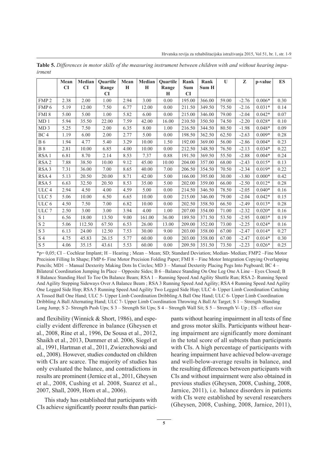|                             | Mean | Median | <b>Ouartile</b> | Mean | Median | <b>Ouartile</b> | Rank       | Rank   | $\mathbf{U}$ | Z       | p-value  | <b>ES</b> |
|-----------------------------|------|--------|-----------------|------|--------|-----------------|------------|--------|--------------|---------|----------|-----------|
|                             | CI   | CI     | Range           | H    | H      | Range           | <b>Sum</b> | Sum H  |              |         |          |           |
|                             |      |        | CI              |      |        | H               | CI         |        |              |         |          |           |
| FMP <sub>2</sub>            | 2.38 | 2.00   | 1.00            | 2.94 | 3.00   | 0.00            | 195.00     | 366.00 | 59.00        | $-2.76$ | $0.006*$ | 0.30      |
| FMP <sub>6</sub>            | 5.19 | 12.00  | 7.50            | 6.77 | 12.00  | 0.00            | 211.50     | 349.50 | 75.50        | $-2.16$ | $0.031*$ | 0.14      |
| FMI <sub>8</sub>            | 5.00 | 5.00   | 1.00            | 5.82 | 6.00   | 0.00            | 215.00     | 346.00 | 79.00        | $-2.04$ | $0.042*$ | 0.07      |
| MD <sub>1</sub>             | 5.94 | 35.50  | 22.00           | 7.59 | 42.00  | 16.00           | 210.50     | 350.50 | 74.50        | $-2.20$ | $0.028*$ | 0.10      |
| MD <sub>3</sub>             | 5.25 | 7.50   | 2.00            | 6.35 | 8.00   | 1.00            | 216.50     | 344.50 | 80.50        | $-1.98$ | $0.048*$ | 0.09      |
| BC <sub>4</sub>             | 1.19 | 6.00   | 2.00            | 2.77 | 5.00   | 0.00            | 198.50     | 362.50 | 62.50        | $-2.63$ | $0.009*$ | 0.28      |
| <b>B</b> 6                  | 1.94 | 4.77   | 5.40            | 3.29 | 10.00  | 1.50            | 192.00     | 369.00 | 56.00        | $-2.86$ | $0.004*$ | 0.23      |
| $B_8$                       | 2.81 | 10.00  | 6.85            | 4.00 | 10.00  | 0.00            | 212.50     | 348.50 | 76.50        | $-2.13$ | $0.034*$ | 0.22      |
| RSA <sub>1</sub>            | 6.81 | 8.70   | 2.14            | 8.53 | 7.37   | 0.88            | 191.50     | 369.50 | 55.50        | $-2.88$ | $0.004*$ | 0.24      |
| RSA <sub>2</sub>            | 7.88 | 38.50  | 10.00           | 9.12 | 45.00  | 10.00           | 204.00     | 357.00 | 68.00        | $-2.43$ | $0.015*$ | 0.13      |
| RSA <sub>3</sub>            | 7.31 | 36.00  | 7.00            | 8.65 | 40.00  | 7.00            | 206.50     | 354.50 | 70.50        | $-2.34$ | $0.019*$ | 0.22      |
| RSA4                        | 5.13 | 20.50  | 20.00           | 8.71 | 42.00  | 5.00            | 166.00     | 395.00 | 30.00        | $-3.80$ | $0.000*$ | 0.42      |
| RSA <sub>5</sub>            | 6.63 | 32.50  | 20.50           | 8.53 | 35.00  | 5.00            | 202.00     | 359.00 | 66.00        | $-2.50$ | $0.012*$ | 0.28      |
| ULC <sub>4</sub>            | 2.94 | 4.50   | 4.00            | 4.59 | 5.00   | 0.00            | 214.50     | 346.50 | 78.50        | $-2.05$ | $0.040*$ | 0.16      |
| ULC 5                       | 5.06 | 10.00  | 6.50            | 6.65 | 10.00  | 0.00            | 215.00     | 346.00 | 79.00        | $-2.04$ | $0.042*$ | 0.15      |
| ULC 6                       | 4.50 | 7.50   | 7.00            | 6.82 | 10.00  | 0.00            | 202.50     | 358.50 | 66.50        | $-2.49$ | $0.013*$ | 0.28      |
| ULC <sub>7</sub>            | 2.50 | 3.00   | 3.00            | 3.94 | 4.00   | 1.00            | 207.00     | 354.00 | 71.00        | $-2.32$ | $0.020*$ | 0.16      |
| S <sub>1</sub>              | 6.56 | 18.00  | 13.50           | 9.00 | 161.00 | 36.00           | 189.50     | 371.50 | 53.50        | $-2.95$ | $0.003*$ | 0.19      |
| $\ensuremath{\mathrm{S}}$ 2 | 5.06 | 112.50 | 67.50           | 6.53 | 26.00  | 13.00           | 209.00     | 352.00 | 73.00        | $-2.25$ | $0.024*$ | 0.16      |
| S <sub>3</sub>              | 6.13 | 24.00  | 12.50           | 7.53 | 30.00  | 9.00            | 203.00     | 358.00 | 67.00        | $-2.47$ | $0.014*$ | 0.27      |
| $\ensuremath{\mathrm{S}}$ 4 | 4.75 | 45.83  | 26.15           | 5.77 | 60.00  | 0.00            | 203.00     | 358.00 | 67.00        | $-2.47$ | $0.014*$ | 0.30      |
| S <sub>5</sub>              | 4.06 | 35.15  | 43.61           | 5.53 | 60.00  | 0.00            | 209.50     | 351.50 | 73.50        | $-2.23$ | $0.026*$ | 0.25      |

Table 5. Differences in motor skills of the measuring instrument between children with and without hearing impairmont

\*p= 0,05; CI – Cochlear Implant; H – Hearing; Mean – Mean; SD; Standard Deviation; Median-Median; FMP2 – Fine Motor Precision Filling In Shape; FMP 6- Fine Motor Precision Folding Paper; FMI 8 – Fine Motor Integration Copying Overlapping Pencils; MD1 – Manual Dexterity Making Dots In Circles; MD 3 – Manual Dexterity Placing Pegs Into Pegboard; BC 4 -Bilateral Coordination Jumping In Place - Opposite Sides; B 6 -Balance Standing On One Leg One A Line - Eyes Closed; B 8 Balance Standing Heel To Toe On Balance Beam; RSA 1 - Running Speed And Agility Shuttle Run; RSA 2- Running Speed And Agility Stepping Sideways Over A Balance Beam; RSA 3 Running Speed And Agility; RSA 4 Running Speed And Agility One Legged Side Hop; RSA 5 Running Speed And Agility Two Legged Side Hop; ULC 4- Upper Limb Coordination Catching A Tossed Ball One Hand; ULC 5- Upper Limb Coordination Dribbling A Ball One Hand; ULC 6- Upper Limb Coordination Dribbling A Ball Alternating Hand; ULC 7- Upper Limb Coordination Throwing A Ball At Target; S 1 – Strength Standing Long Jump; S 2- Strength Push Ups; S 3 - Strength Sit Ups; S 4 - Strength Wall Sit; S 5 - Strength V- Up; ES - effect size

and flexibility (Winnick & Short, 1986), and especially evident difference in balance (Gheysen et al., 2008, Rine et al., 1996, De Sousa et al., 2012, Shaikh et al., 2013, Dummer et al. 2006, Siegel et al., 1991, Hartman et al., 2011, Zwierzchowski and ed., 2008). However, studies conducted on children with CIs are scarce. The majority of studies has only evaluated the balance, and contradictions in results are prominent (Jernice et al., 2011, Gheysen et al., 2008, Cushing et al. 2008, Suarez et al., 2007, Shall, 2009, Horn et al., 2006).

This study has established that participants with CIs achieve significantly poorer results than participants without hearing impairment in all tests of fine and gross motor skills. Participants without hearing impairment are significantly more dominant in the total score of all subtests than participants with CIs. A high percentage of participants with hearing impairment have achieved below-average and well-below-average results in balance, and the resulting differences between participants with CIs and without impairment were also obtained in previous studies (Gheysen, 2008, Cushing, 2008, Jarnice, 2011), *i.e.* balance disorders in patients with CIs were established by several researchers (Gheysen, 2008, Cushing, 2008, Jarnice, 2011),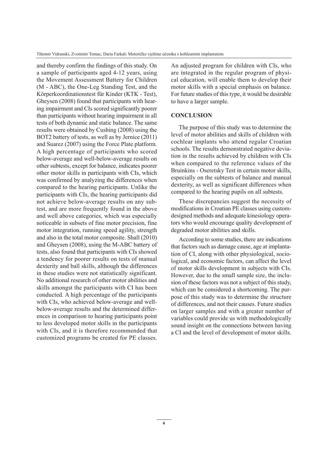and thereby confirm the findings of this study. On a sample of participants aged 4-12 years, using the Movement Assessment Battery for Children (M - ABC), the One-Leg Standing Test, and the Körperkoordinationstest für Kinder (KTK - Test), Gheysen (2008) found that participants with hearing impairment and CIs scored significantly poorer than participants without hearing impairment in all tests of both dynamic and static balance. The same results were obtained by Cushing (2008) using the BOT2 battery of tests, as well as by Jernice (2011) and Suarez (2007) using the Force Plate platform. A high percentage of participants who scored below-average and well-below-average results on other subtests, except for balance, indicates poorer other motor skills in participants with CIs, which was confirmed by analyzing the differences when compared to the hearing participants. Unlike the participants with CIs, the hearing participants did not achieve below-average results on any subtest, and are more frequently found in the above and well above categories, which was especially noticeable in subsets of fine motor precision, fine motor integration, running speed agility, strength and also in the total motor composite. Shall (2010) and Gheysen (2008), using the M-ABC battery of tests, also found that participants with CIs showed a tendency for poorer results on tests of manual dexterity and ball skills, although the differences in these studies were not statistically significant. No additional research of other motor abilities and skills amongst the participants with CI has been conducted. A high percentage of the participants with CIs, who achieved below-average and wellbelow-average results and the determined differences in comparison to hearing participants point to less developed motor skills in the participants with CIs, and it is therefore recommended that customized programs be created for PE classes.

An adjusted program for children with CIs, who are integrated in the regular program of physical education, will enable them to develop their motor skills with a special emphasis on balance. For future studies of this type, it would be desirable to have a larger sample.

#### **CONCLUSION**

The purpose of this study was to determine the level of motor abilities and skills of children with cochlear implants who attend regular Croatian schools. The results demonstrated negative deviation in the results achieved by children with CIs when compared to the reference values of the Bruinkins - Oseretsky Test in certain motor skills, especially on the subtests of balance and manual dexterity, as well as significant differences when compared to the hearing pupils on all subtests.

These discrepancies suggest the necessity of modifications in Croatian PE classes using customdesigned methods and adequate kinesiology operators who would encourage quality development of degraded motor abilities and skills.

According to some studies, there are indications that factors such as damage cause, age at implantation of CI, along with other physiological, sociological, and economic factors, can affect the level of motor skills development in subjects with CIs. However, due to the small sample size, the inclusion of these factors was not a subject of this study, which can be considered a shortcoming. The purpose of this study was to determine the structure of differences, and not their causes. Future studies on larger samples and with a greater number of variables could provide us with methodologically sound insight on the connections between having a CI and the level of development of motor skills.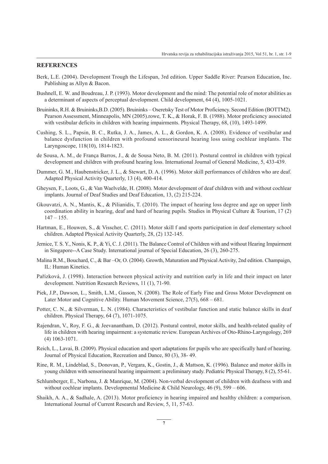#### **REFERENCES**

- Berk, L.E. (2004). Development Trough the Lifespan, 3rd edition. Upper Saddle River: Pearson Education, Inc. Publishing as Allyn & Bacon.
- Bushnell, E. W. and Boudreau, J. P. (1993). Motor development and the mind: The potential role of motor abilities as a determinant of aspects of perceptual development. Child development, 64 (4), 1005-1021.
- Bruininks, R.H. & Bruininks, B.D. (2005). Bruininks Oseretsky Test of Motor Proficiency. Second Edition (BOTTM2). Pearson Assessment, Minneapolis, MN (2005).rowe, T. K., & Horak, F. B. (1988). Motor proficiency associated with vestibular deficits in children with hearing impairments. Physical Therapy, 68, (10), 1493-1499.
- Cushing, S. L., Papsin, B. C., Rutka, J. A., James, A. L., & Gordon, K. A. (2008). Evidence of vestibular and balance dysfunction in children with profound sensorineural hearing loss using cochlear implants. The Laryngoscope, 118(10), 1814-1823.
- de Sousa, A. M., de França Barros, J., & de Sousa Neto, B. M. (2011). Postural control in children with typical development and children with profound hearing loss. International Journal of General Medicine, 5, 433-439.
- Dummer, G. M., Haubenstricker, J. L., & Stewart, D. A. (1996). Motor skill performances of children who are deaf. Adapted Physical Activity Quarterly, 13 (4), 400-414.
- Gheysen, F., Loots, G., & Van Waelvelde, H. (2008). Motor development of deaf children with and without cochlear implants. Journal of Deaf Studies and Deaf Education, 13, (2) 215-224.
- Gkouvatzi, A. N., Mantis, K., & Pilianidis, T. (2010). The impact of hearing loss degree and age on upper limb coordination ability in hearing, deaf and hard of hearing pupils. Studies in Physical Culture & Tourism,  $17(2)$  $147 - 155$ .
- Hartman, E., Houwen, S., & Visscher, C. (2011). Motor skill f and sports participation in deaf elementary school children. Adapted Physical Activity Quarterly, 28, (2) 132-145.
- Jernice, T. S. Y., Nonis, K. P., & Yi, C. J. (2011). The Balance Control of Children with and without Hearing Impairment in Singapore--A Case Study. International journal of Special Education, 26 (3), 260-275.
- Malina R.M., Bouchard, C., & Bar -Or, O. (2004). Growth, Maturation and Physical Activity, 2nd edition. Champaign, IL: Human Kinetics.
- Pařízková, J. (1998). Interaction between physical activity and nutrition early in life and their impact on later development. Nutrition Research Reviews, 11 (1), 71-90.
- Piek, J.P., Dawson, L., Smith, L.M., Gasson, N. (2008). The Role of Early Fine and Gross Motor Development on Later Motor and Cognitive Ability. Human Movement Science, 27(5), 668 – 681.
- Potter, C. N., & Silverman, L. N. (1984). Characteristics of vestibular function and static balance skills in deaf children. Physical Therapy, 64 (7), 1071-1075.
- Rajendran, V., Roy, F. G., & Jeevanantham, D. (2012). Postural control, motor skills, and health-related quality of life in children with hearing impairment: a systematic review. European Archives of Oto-Rhino-Laryngology, 269  $(4)$  1063-1071.
- Reich, L., Lavai, B. (2009). Physical education and sport adaptations for pupils who are specifically hard of hearing. Journal of Physical Education, Recreation and Dance, 80 (3), 38-49.
- Rine, R. M., Lindeblad, S., Donovan, P., Vergara, K., Gostin, J., & Mattson, K. (1996). Balance and motor skills in young children with sensorineural hearing impairment: a preliminary study. Pediatric Physical Therapy, 8 (2), 55-61.
- Schlumberger, E., Narbona, J. & Manrique, M. (2004). Non-verbal development of children with deafness with and without cochlear implants. Developmental Medicine & Child Neurology,  $46(9)$ ,  $599 - 606$ .
- Shaikh, A. A., & Sadhale, A. (2013). Motor proficiency in hearing impaired and healthy children: a comparison. International Journal of Current Research and Review, 5, 11, 57-63.